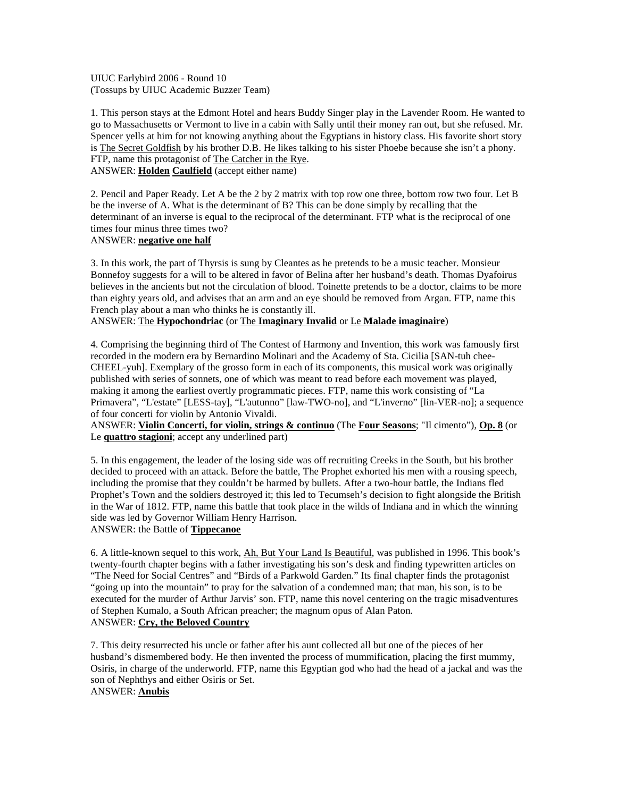UIUC Earlybird 2006 - Round 10 (Tossups by UIUC Academic Buzzer Team)

1. This person stays at the Edmont Hotel and hears Buddy Singer play in the Lavender Room. He wanted to go to Massachusetts or Vermont to live in a cabin with Sally until their money ran out, but she refused. Mr. Spencer yells at him for not knowing anything about the Egyptians in history class. His favorite short story is The Secret Goldfish by his brother D.B. He likes talking to his sister Phoebe because she isn't a phony. FTP, name this protagonist of The Catcher in the Rye. ANSWER: **Holden Caulfield** (accept either name)

2. Pencil and Paper Ready. Let A be the 2 by 2 matrix with top row one three, bottom row two four. Let B be the inverse of A. What is the determinant of B? This can be done simply by recalling that the determinant of an inverse is equal to the reciprocal of the determinant. FTP what is the reciprocal of one times four minus three times two?

## ANSWER: **negative one half**

3. In this work, the part of Thyrsis is sung by Cleantes as he pretends to be a music teacher. Monsieur Bonnefoy suggests for a will to be altered in favor of Belina after her husband's death. Thomas Dyafoirus believes in the ancients but not the circulation of blood. Toinette pretends to be a doctor, claims to be more than eighty years old, and advises that an arm and an eye should be removed from Argan. FTP, name this French play about a man who thinks he is constantly ill.

# ANSWER: The **Hypochondriac** (or The **Imaginary Invalid** or Le **Malade imaginaire**)

4. Comprising the beginning third of The Contest of Harmony and Invention, this work was famously first recorded in the modern era by Bernardino Molinari and the Academy of Sta. Cicilia [SAN-tuh chee-CHEEL-yuh]. Exemplary of the grosso form in each of its components, this musical work was originally published with series of sonnets, one of which was meant to read before each movement was played, making it among the earliest overtly programmatic pieces. FTP, name this work consisting of "La Primavera", "L'estate" [LESS-tay], "L'autunno" [law-TWO-no], and "L'inverno" [lin-VER-no]; a sequence of four concerti for violin by Antonio Vivaldi.

ANSWER: **Violin Concerti, for violin, strings & continuo** (The **Four Seasons**; "Il cimento"), **Op. 8** (or Le **quattro stagioni**; accept any underlined part)

5. In this engagement, the leader of the losing side was off recruiting Creeks in the South, but his brother decided to proceed with an attack. Before the battle, The Prophet exhorted his men with a rousing speech, including the promise that they couldn't be harmed by bullets. After a two-hour battle, the Indians fled Prophet's Town and the soldiers destroyed it; this led to Tecumseh's decision to fight alongside the British in the War of 1812. FTP, name this battle that took place in the wilds of Indiana and in which the winning side was led by Governor William Henry Harrison. ANSWER: the Battle of **Tippecanoe**

6. A little-known sequel to this work, Ah, But Your Land Is Beautiful, was published in 1996. This book's twenty-fourth chapter begins with a father investigating his son's desk and finding typewritten articles on "The Need for Social Centres" and "Birds of a Parkwold Garden." Its final chapter finds the protagonist "going up into the mountain" to pray for the salvation of a condemned man; that man, his son, is to be executed for the murder of Arthur Jarvis' son. FTP, name this novel centering on the tragic misadventures of Stephen Kumalo, a South African preacher; the magnum opus of Alan Paton. ANSWER: **Cry, the Beloved Country**

7. This deity resurrected his uncle or father after his aunt collected all but one of the pieces of her husband's dismembered body. He then invented the process of mummification, placing the first mummy, Osiris, in charge of the underworld. FTP, name this Egyptian god who had the head of a jackal and was the son of Nephthys and either Osiris or Set. ANSWER: **Anubis**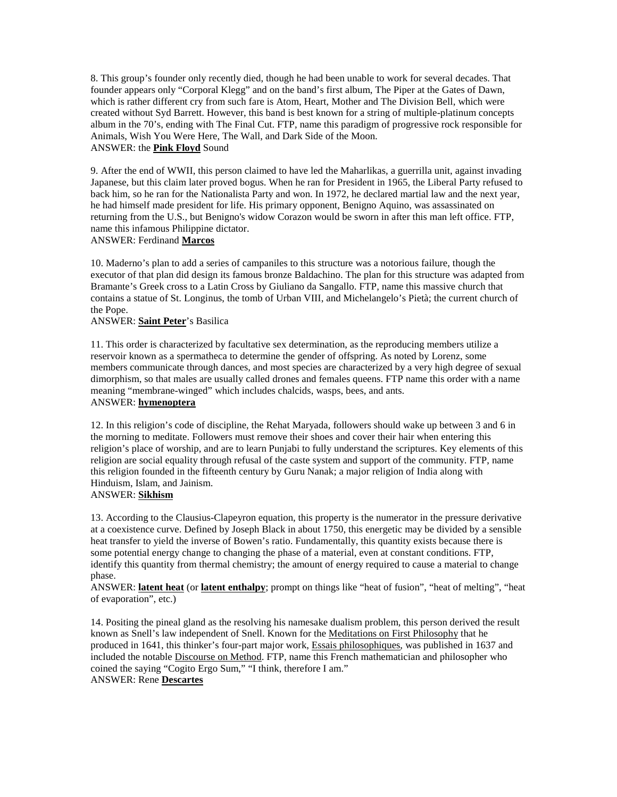8. This group's founder only recently died, though he had been unable to work for several decades. That founder appears only "Corporal Klegg" and on the band's first album, The Piper at the Gates of Dawn, which is rather different cry from such fare is Atom, Heart, Mother and The Division Bell, which were created without Syd Barrett. However, this band is best known for a string of multiple-platinum concepts album in the 70's, ending with The Final Cut. FTP, name this paradigm of progressive rock responsible for Animals, Wish You Were Here, The Wall, and Dark Side of the Moon. ANSWER: the **Pink Floyd** Sound

9. After the end of WWII, this person claimed to have led the Maharlikas, a guerrilla unit, against invading Japanese, but this claim later proved bogus. When he ran for President in 1965, the Liberal Party refused to back him, so he ran for the Nationalista Party and won. In 1972, he declared martial law and the next year, he had himself made president for life. His primary opponent, Benigno Aquino, was assassinated on returning from the U.S., but Benigno's widow Corazon would be sworn in after this man left office. FTP, name this infamous Philippine dictator.

#### ANSWER: Ferdinand **Marcos**

10. Maderno's plan to add a series of campaniles to this structure was a notorious failure, though the executor of that plan did design its famous bronze Baldachino. The plan for this structure was adapted from Bramante's Greek cross to a Latin Cross by Giuliano da Sangallo. FTP, name this massive church that contains a statue of St. Longinus, the tomb of Urban VIII, and Michelangelo's Pietà; the current church of the Pope.

## ANSWER: **Saint Peter**'s Basilica

11. This order is characterized by facultative sex determination, as the reproducing members utilize a reservoir known as a spermatheca to determine the gender of offspring. As noted by Lorenz, some members communicate through dances, and most species are characterized by a very high degree of sexual dimorphism, so that males are usually called drones and females queens. FTP name this order with a name meaning "membrane-winged" which includes chalcids, wasps, bees, and ants. ANSWER: **hymenoptera**

12. In this religion's code of discipline, the Rehat Maryada, followers should wake up between 3 and 6 in the morning to meditate. Followers must remove their shoes and cover their hair when entering this religion's place of worship, and are to learn Punjabi to fully understand the scriptures. Key elements of this religion are social equality through refusal of the caste system and support of the community. FTP, name this religion founded in the fifteenth century by Guru Nanak; a major religion of India along with Hinduism, Islam, and Jainism.

#### ANSWER: **Sikhism**

13. According to the Clausius-Clapeyron equation, this property is the numerator in the pressure derivative at a coexistence curve. Defined by Joseph Black in about 1750, this energetic may be divided by a sensible heat transfer to yield the inverse of Bowen's ratio. Fundamentally, this quantity exists because there is some potential energy change to changing the phase of a material, even at constant conditions. FTP, identify this quantity from thermal chemistry; the amount of energy required to cause a material to change phase.

ANSWER: **latent heat** (or **latent enthalpy**; prompt on things like "heat of fusion", "heat of melting", "heat of evaporation", etc.)

14. Positing the pineal gland as the resolving his namesake dualism problem, this person derived the result known as Snell's law independent of Snell. Known for the Meditations on First Philosophy that he produced in 1641, this thinker's four-part major work, Essais philosophiques, was published in 1637 and included the notable Discourse on Method. FTP, name this French mathematician and philosopher who coined the saying "Cogito Ergo Sum," "I think, therefore I am." ANSWER: Rene **Descartes**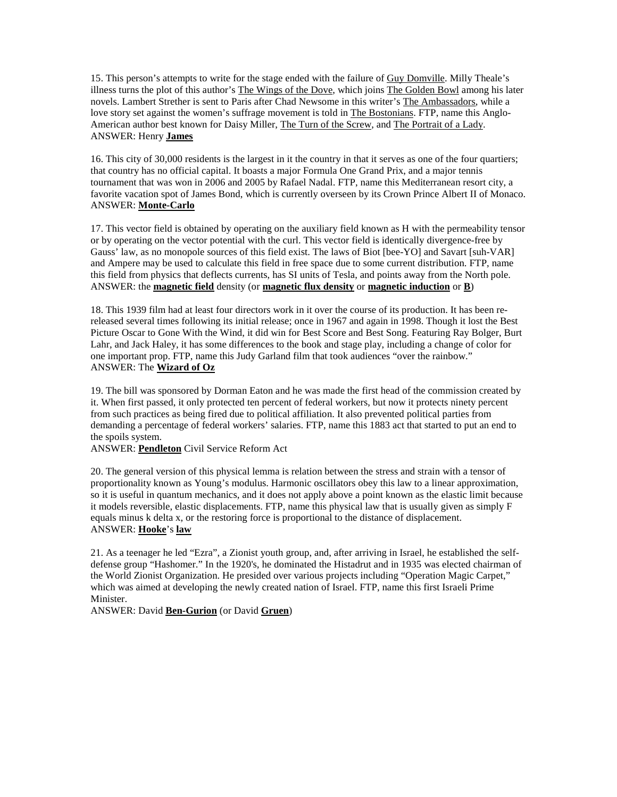15. This person's attempts to write for the stage ended with the failure of Guy Domville. Milly Theale's illness turns the plot of this author's The Wings of the Dove, which joins The Golden Bowl among his later novels. Lambert Strether is sent to Paris after Chad Newsome in this writer's The Ambassadors, while a love story set against the women's suffrage movement is told in The Bostonians. FTP, name this Anglo-American author best known for Daisy Miller, The Turn of the Screw, and The Portrait of a Lady. ANSWER: Henry **James**

16. This city of 30,000 residents is the largest in it the country in that it serves as one of the four quartiers; that country has no official capital. It boasts a major Formula One Grand Prix, and a major tennis tournament that was won in 2006 and 2005 by Rafael Nadal. FTP, name this Mediterranean resort city, a favorite vacation spot of James Bond, which is currently overseen by its Crown Prince Albert II of Monaco. ANSWER: **Monte-Carlo**

17. This vector field is obtained by operating on the auxiliary field known as H with the permeability tensor or by operating on the vector potential with the curl. This vector field is identically divergence-free by Gauss' law, as no monopole sources of this field exist. The laws of Biot [bee-YO] and Savart [suh-VAR] and Ampere may be used to calculate this field in free space due to some current distribution. FTP, name this field from physics that deflects currents, has SI units of Tesla, and points away from the North pole. ANSWER: the **magnetic field** density (or **magnetic flux density** or **magnetic induction** or **B**)

18. This 1939 film had at least four directors work in it over the course of its production. It has been rereleased several times following its initial release; once in 1967 and again in 1998. Though it lost the Best Picture Oscar to Gone With the Wind, it did win for Best Score and Best Song. Featuring Ray Bolger, Burt Lahr, and Jack Haley, it has some differences to the book and stage play, including a change of color for one important prop. FTP, name this Judy Garland film that took audiences "over the rainbow." ANSWER: The **Wizard of Oz**

19. The bill was sponsored by Dorman Eaton and he was made the first head of the commission created by it. When first passed, it only protected ten percent of federal workers, but now it protects ninety percent from such practices as being fired due to political affiliation. It also prevented political parties from demanding a percentage of federal workers' salaries. FTP, name this 1883 act that started to put an end to the spoils system.

ANSWER: **Pendleton** Civil Service Reform Act

20. The general version of this physical lemma is relation between the stress and strain with a tensor of proportionality known as Young's modulus. Harmonic oscillators obey this law to a linear approximation, so it is useful in quantum mechanics, and it does not apply above a point known as the elastic limit because it models reversible, elastic displacements. FTP, name this physical law that is usually given as simply F equals minus k delta x, or the restoring force is proportional to the distance of displacement. ANSWER: **Hooke**'s **law**

21. As a teenager he led "Ezra", a Zionist youth group, and, after arriving in Israel, he established the selfdefense group "Hashomer." In the 1920's, he dominated the Histadrut and in 1935 was elected chairman of the World Zionist Organization. He presided over various projects including "Operation Magic Carpet," which was aimed at developing the newly created nation of Israel. FTP, name this first Israeli Prime Minister.

ANSWER: David **Ben-Gurion** (or David **Gruen**)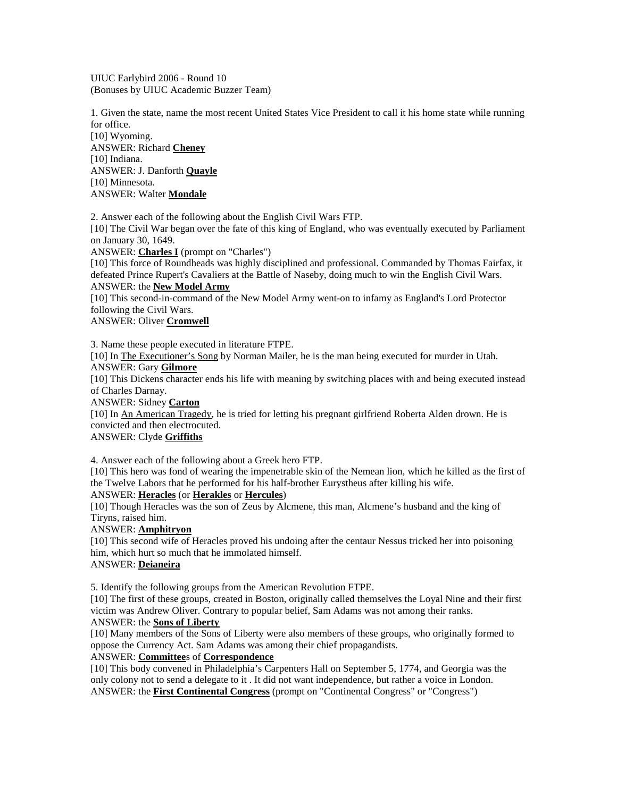UIUC Earlybird 2006 - Round 10 (Bonuses by UIUC Academic Buzzer Team)

1. Given the state, name the most recent United States Vice President to call it his home state while running for office.

[10] Wyoming. ANSWER: Richard **Cheney** [10] Indiana. ANSWER: J. Danforth **Quayle** [10] Minnesota. ANSWER: Walter **Mondale**

2. Answer each of the following about the English Civil Wars FTP.

[10] The Civil War began over the fate of this king of England, who was eventually executed by Parliament on January 30, 1649.

ANSWER: **Charles I** (prompt on "Charles")

[10] This force of Roundheads was highly disciplined and professional. Commanded by Thomas Fairfax, it defeated Prince Rupert's Cavaliers at the Battle of Naseby, doing much to win the English Civil Wars. ANSWER: the **New Model Army**

[10] This second-in-command of the New Model Army went-on to infamy as England's Lord Protector following the Civil Wars.

ANSWER: Oliver **Cromwell**

3. Name these people executed in literature FTPE.

[10] In The Executioner's Song by Norman Mailer, he is the man being executed for murder in Utah. ANSWER: Gary **Gilmore**

[10] This Dickens character ends his life with meaning by switching places with and being executed instead of Charles Darnay.

ANSWER: Sidney **Carton**

[10] In An American Tragedy, he is tried for letting his pregnant girlfriend Roberta Alden drown. He is convicted and then electrocuted.

ANSWER: Clyde **Griffiths**

4. Answer each of the following about a Greek hero FTP.

[10] This hero was fond of wearing the impenetrable skin of the Nemean lion, which he killed as the first of the Twelve Labors that he performed for his half-brother Eurystheus after killing his wife.

ANSWER: **Heracles** (or **Herakles** or **Hercules**)

[10] Though Heracles was the son of Zeus by Alcmene, this man, Alcmene's husband and the king of Tiryns, raised him.

ANSWER: **Amphitryon**

[10] This second wife of Heracles proved his undoing after the centaur Nessus tricked her into poisoning him, which hurt so much that he immolated himself.

# ANSWER: **Deianeira**

5. Identify the following groups from the American Revolution FTPE.

[10] The first of these groups, created in Boston, originally called themselves the Loyal Nine and their first victim was Andrew Oliver. Contrary to popular belief, Sam Adams was not among their ranks. ANSWER: the **Sons of Liberty**

[10] Many members of the Sons of Liberty were also members of these groups, who originally formed to oppose the Currency Act. Sam Adams was among their chief propagandists.

## ANSWER: **Committee**s of **Correspondence**

[10] This body convened in Philadelphia's Carpenters Hall on September 5, 1774, and Georgia was the only colony not to send a delegate to it . It did not want independence, but rather a voice in London. ANSWER: the **First Continental Congress** (prompt on "Continental Congress" or "Congress")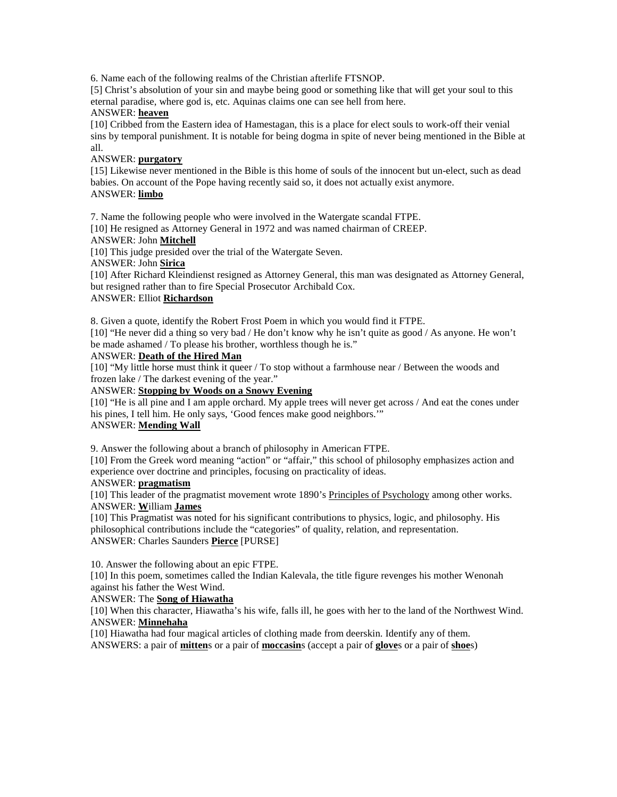6. Name each of the following realms of the Christian afterlife FTSNOP.

[5] Christ's absolution of your sin and maybe being good or something like that will get your soul to this eternal paradise, where god is, etc. Aquinas claims one can see hell from here.

# ANSWER: **heaven**

[10] Cribbed from the Eastern idea of Hamestagan, this is a place for elect souls to work-off their venial sins by temporal punishment. It is notable for being dogma in spite of never being mentioned in the Bible at all.

## ANSWER: **purgatory**

[15] Likewise never mentioned in the Bible is this home of souls of the innocent but un-elect, such as dead babies. On account of the Pope having recently said so, it does not actually exist anymore. ANSWER: **limbo**

7. Name the following people who were involved in the Watergate scandal FTPE.

[10] He resigned as Attorney General in 1972 and was named chairman of CREEP.

## ANSWER: John **Mitchell**

[10] This judge presided over the trial of the Watergate Seven.

ANSWER: John **Sirica**

[10] After Richard Kleindienst resigned as Attorney General, this man was designated as Attorney General, but resigned rather than to fire Special Prosecutor Archibald Cox.

# ANSWER: Elliot **Richardson**

8. Given a quote, identify the Robert Frost Poem in which you would find it FTPE.

[10] "He never did a thing so very bad / He don't know why he isn't quite as good / As anyone. He won't be made ashamed / To please his brother, worthless though he is."

#### ANSWER: **Death of the Hired Man**

[10] "My little horse must think it queer / To stop without a farmhouse near / Between the woods and frozen lake / The darkest evening of the year."

ANSWER: **Stopping by Woods on a Snowy Evening**

[10] "He is all pine and I am apple orchard. My apple trees will never get across / And eat the cones under his pines, I tell him. He only says, 'Good fences make good neighbors.'"

# ANSWER: **Mending Wall**

9. Answer the following about a branch of philosophy in American FTPE.

[10] From the Greek word meaning "action" or "affair," this school of philosophy emphasizes action and experience over doctrine and principles, focusing on practicality of ideas.

#### ANSWER: **pragmatism**

[10] This leader of the pragmatist movement wrote 1890's Principles of Psychology among other works. ANSWER: **W**illiam **James**

[10] This Pragmatist was noted for his significant contributions to physics, logic, and philosophy. His philosophical contributions include the "categories" of quality, relation, and representation. ANSWER: Charles Saunders **Pierce** [PURSE]

## 10. Answer the following about an epic FTPE.

[10] In this poem, sometimes called the Indian Kalevala, the title figure revenges his mother Wenonah against his father the West Wind.

## ANSWER: The **Song of Hiawatha**

[10] When this character, Hiawatha's his wife, falls ill, he goes with her to the land of the Northwest Wind. ANSWER: **Minnehaha**

[10] Hiawatha had four magical articles of clothing made from deerskin. Identify any of them. ANSWERS: a pair of **mitten**s or a pair of **moccasin**s (accept a pair of **glove**s or a pair of **shoe**s)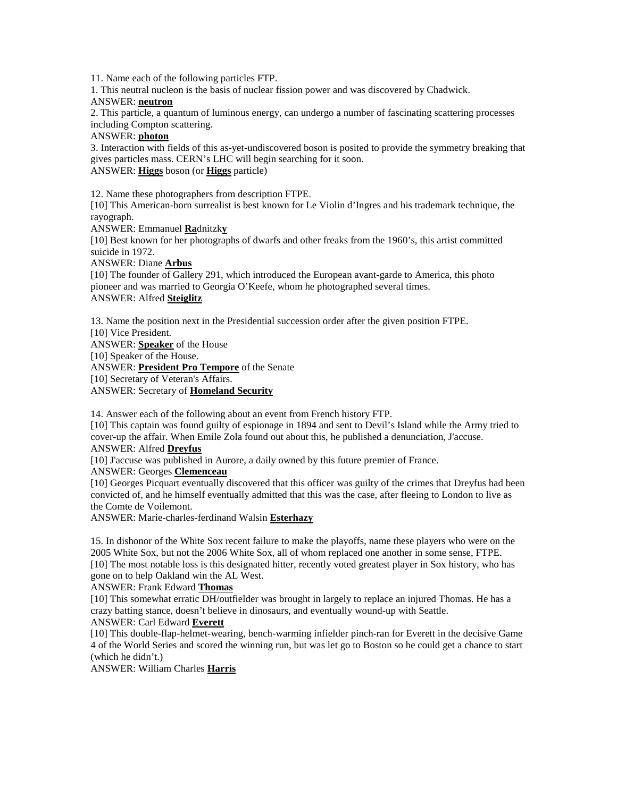11. Name each of the following particles FTP.

1. This neutral nucleon is the basis of nuclear fission power and was discovered by Chadwick.

#### ANSWER: **neutron**

2. This particle, a quantum of luminous energy, can undergo a number of fascinating scattering processes including Compton scattering.

## ANSWER: **photon**

3. Interaction with fields of this as-yet-undiscovered boson is posited to provide the symmetry breaking that gives particles mass. CERN's LHC will begin searching for it soon.

# ANSWER: **Higgs** boson (or **Higgs** particle)

12. Name these photographers from description FTPE.

[10] This American-born surrealist is best known for Le Violin d'Ingres and his trademark technique, the rayograph.

ANSWER: Emmanuel **Ra**dnitzk**y**

[10] Best known for her photographs of dwarfs and other freaks from the 1960's, this artist committed suicide in 1972.

ANSWER: Diane **Arbus**

[10] The founder of Gallery 291, which introduced the European avant-garde to America, this photo pioneer and was married to Georgia O'Keefe, whom he photographed several times. ANSWER: Alfred **Steiglitz**

13. Name the position next in the Presidential succession order after the given position FTPE. [10] Vice President. ANSWER: **Speaker** of the House [10] Speaker of the House. ANSWER: **President Pro Tempore** of the Senate [10] Secretary of Veteran's Affairs. ANSWER: Secretary of **Homeland Security**

14. Answer each of the following about an event from French history FTP.

[10] This captain was found guilty of espionage in 1894 and sent to Devil's Island while the Army tried to cover-up the affair. When Emile Zola found out about this, he published a denunciation, J'accuse. ANSWER: Alfred **Dreyfus**

[10] J'accuse was published in Aurore, a daily owned by this future premier of France.

ANSWER: Georges **Clemenceau**

[10] Georges Picquart eventually discovered that this officer was guilty of the crimes that Dreyfus had been convicted of, and he himself eventually admitted that this was the case, after fleeing to London to live as the Comte de Voilemont.

ANSWER: Marie-charles-ferdinand Walsin **Esterhazy**

15. In dishonor of the White Sox recent failure to make the playoffs, name these players who were on the 2005 White Sox, but not the 2006 White Sox, all of whom replaced one another in some sense, FTPE. [10] The most notable loss is this designated hitter, recently voted greatest player in Sox history, who has gone on to help Oakland win the AL West.

#### ANSWER: Frank Edward **Thomas**

[10] This somewhat erratic DH/outfielder was brought in largely to replace an injured Thomas. He has a crazy batting stance, doesn't believe in dinosaurs, and eventually wound-up with Seattle.

## ANSWER: Carl Edward **Everett**

[10] This double-flap-helmet-wearing, bench-warming infielder pinch-ran for Everett in the decisive Game 4 of the World Series and scored the winning run, but was let go to Boston so he could get a chance to start (which he didn't.)

ANSWER: William Charles **Harris**